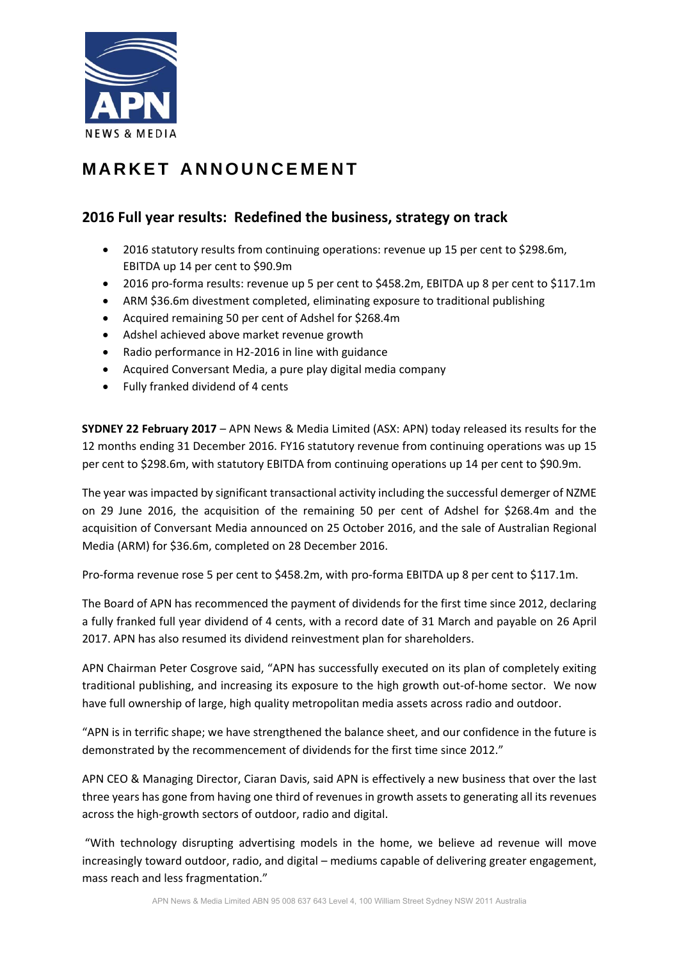

# **MARKET ANNOUNCEMENT**

# **2016 Full year results: Redefined the business, strategy on track**

- 2016 statutory results from continuing operations: revenue up 15 per cent to \$298.6m, EBITDA up 14 per cent to \$90.9m
- 2016 pro-forma results: revenue up 5 per cent to \$458.2m, EBITDA up 8 per cent to \$117.1m
- ARM \$36.6m divestment completed, eliminating exposure to traditional publishing
- Acquired remaining 50 per cent of Adshel for \$268.4m
- Adshel achieved above market revenue growth
- Radio performance in H2-2016 in line with guidance
- Acquired Conversant Media, a pure play digital media company
- Fully franked dividend of 4 cents

**SYDNEY 22 February 2017** – APN News & Media Limited (ASX: APN) today released its results for the 12 months ending 31 December 2016. FY16 statutory revenue from continuing operations was up 15 per cent to \$298.6m, with statutory EBITDA from continuing operations up 14 per cent to \$90.9m.

The year was impacted by significant transactional activity including the successful demerger of NZME on 29 June 2016, the acquisition of the remaining 50 per cent of Adshel for \$268.4m and the acquisition of Conversant Media announced on 25 October 2016, and the sale of Australian Regional Media (ARM) for \$36.6m, completed on 28 December 2016.

Pro‐forma revenue rose 5 per cent to \$458.2m, with pro‐forma EBITDA up 8 per cent to \$117.1m.

The Board of APN has recommenced the payment of dividends for the first time since 2012, declaring a fully franked full year dividend of 4 cents, with a record date of 31 March and payable on 26 April 2017. APN has also resumed its dividend reinvestment plan for shareholders.

APN Chairman Peter Cosgrove said, "APN has successfully executed on its plan of completely exiting traditional publishing, and increasing its exposure to the high growth out‐of‐home sector. We now have full ownership of large, high quality metropolitan media assets across radio and outdoor.

"APN is in terrific shape; we have strengthened the balance sheet, and our confidence in the future is demonstrated by the recommencement of dividends for the first time since 2012."

APN CEO & Managing Director, Ciaran Davis, said APN is effectively a new business that over the last three years has gone from having one third of revenues in growth assets to generating all its revenues across the high‐growth sectors of outdoor, radio and digital.

"With technology disrupting advertising models in the home, we believe ad revenue will move increasingly toward outdoor, radio, and digital – mediums capable of delivering greater engagement, mass reach and less fragmentation."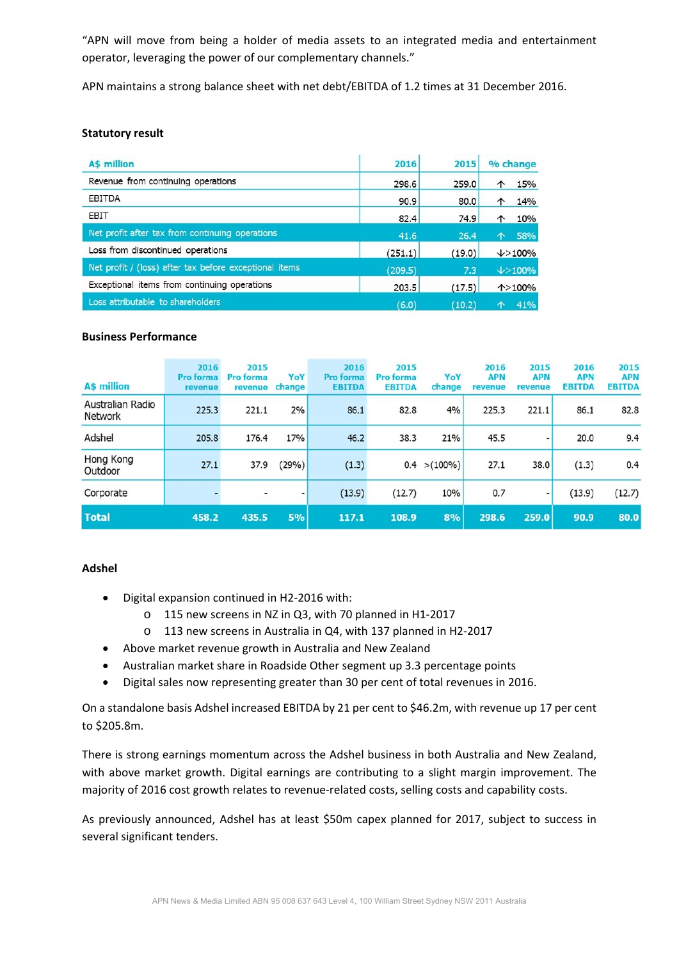"APN will move from being a holder of media assets to an integrated media and entertainment operator, leveraging the power of our complementary channels."

APN maintains a strong balance sheet with net debt/EBITDA of 1.2 times at 31 December 2016.

#### **Statutory result**

| <b>AS million</b>                                      | 2016    | 2015   | % change            |
|--------------------------------------------------------|---------|--------|---------------------|
| Revenue from continuing operations                     | 298.6   | 259.0  | 15%<br>↑            |
| EBITDA                                                 | 90.9    | 80.0   | 14%<br>↑            |
| EBIT                                                   | 82.4    | 74.9   | 10%<br>↑            |
| Net profit after tax from continuing operations        | 41.6    | 26.4   | 58%<br>个            |
| Loss from discontinued operations                      | (251.1) | (19.0) | $\downarrow$ > 100% |
| Net profit / (loss) after tax before exceptional items | (209.5) | 7.3    | $\downarrow$ > 100% |
| Exceptional items from continuing operations           | 203.5   | (17.5) | $\uparrow$ >100%    |
| Loss attributable to shareholders                      | (6.0)   | (10.2) | 41%<br>个            |

#### **Business Performance**

| <b>A\$ million</b>                 | 2016<br><b>Pro forma</b><br>revenue | 2015<br>Pro forma<br><b>revenue</b> | YoY<br>change | 2016<br><b>Pro forma</b><br><b>EBITDA</b> | 2015<br>Pro forma<br><b>EBITDA</b> | YoY<br>change   | 2016<br><b>APN</b><br>revenue | 2015<br><b>APN</b><br>revenue | 2016<br><b>APN</b><br><b>EBITDA</b> | 2015<br><b>APN</b><br><b>EBITDA</b> |
|------------------------------------|-------------------------------------|-------------------------------------|---------------|-------------------------------------------|------------------------------------|-----------------|-------------------------------|-------------------------------|-------------------------------------|-------------------------------------|
| Australian Radio<br><b>Network</b> | 225.3                               | 221.1                               | 2%            | 86.1                                      | 82.8                               | 4%              | 225.3                         | 221.1                         | 86.1                                | 82.8                                |
| Adshel                             | 205.8                               | 176.4                               | 17%           | 46.2                                      | 38.3                               | 21%             | 45.5                          |                               | 20.0                                | 9.4                                 |
| Hong Kong<br>Outdoor               | 27.1                                | 37.9                                | (29%)         | (1.3)                                     |                                    | $0.4 > (100\%)$ | 27.1                          | 38.0                          | (1.3)                               | 0.4                                 |
| Corporate                          |                                     |                                     |               | (13.9)                                    | (12.7)                             | 10%             | 0.7                           |                               | (13.9)                              | (12.7)                              |
| <b>Total</b>                       | 458.2                               | 435.5                               | 5%            | 117.1                                     | 108.9                              | 8%              | 298.6                         | 259.0                         | 90.9                                | 80.0                                |

### **Adshel**

- Digital expansion continued in H2‐2016 with:
	- o 115 new screens in NZ in Q3, with 70 planned in H1‐2017
	- o 113 new screens in Australia in Q4, with 137 planned in H2‐2017
- Above market revenue growth in Australia and New Zealand
- Australian market share in Roadside Other segment up 3.3 percentage points
- Digital sales now representing greater than 30 per cent of total revenues in 2016.

On a standalone basis Adshel increased EBITDA by 21 per cent to \$46.2m, with revenue up 17 per cent to \$205.8m.

There is strong earnings momentum across the Adshel business in both Australia and New Zealand, with above market growth. Digital earnings are contributing to a slight margin improvement. The majority of 2016 cost growth relates to revenue‐related costs, selling costs and capability costs.

As previously announced, Adshel has at least \$50m capex planned for 2017, subject to success in several significant tenders.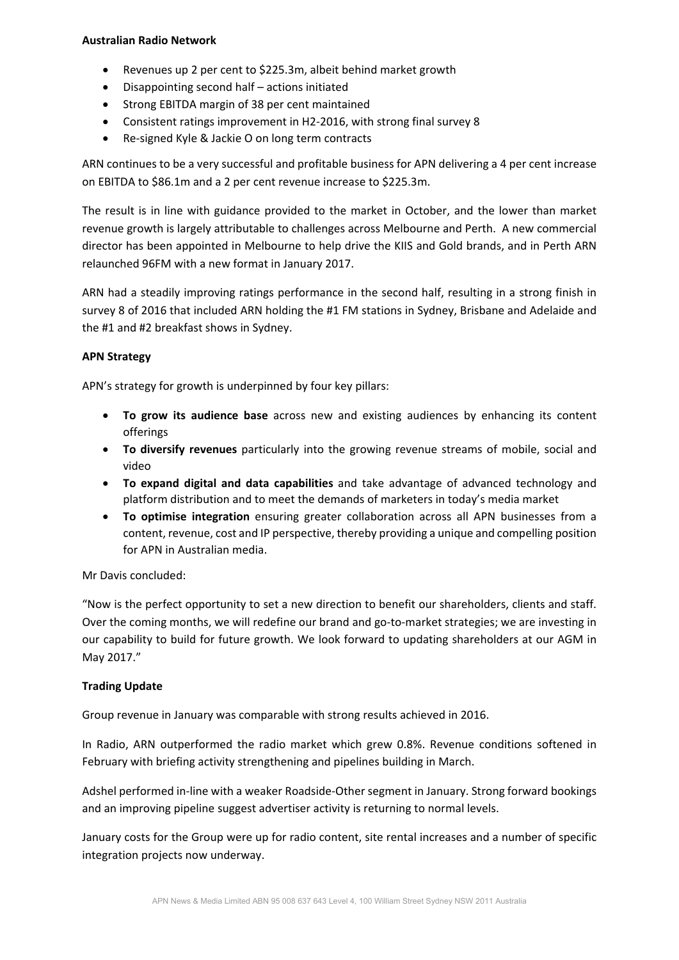### **Australian Radio Network**

- Revenues up 2 per cent to \$225.3m, albeit behind market growth
- Disappointing second half actions initiated
- Strong EBITDA margin of 38 per cent maintained
- Consistent ratings improvement in H2‐2016, with strong final survey 8
- Re-signed Kyle & Jackie O on long term contracts

ARN continues to be a very successful and profitable business for APN delivering a 4 per cent increase on EBITDA to \$86.1m and a 2 per cent revenue increase to \$225.3m.

The result is in line with guidance provided to the market in October, and the lower than market revenue growth is largely attributable to challenges across Melbourne and Perth. A new commercial director has been appointed in Melbourne to help drive the KIIS and Gold brands, and in Perth ARN relaunched 96FM with a new format in January 2017.

ARN had a steadily improving ratings performance in the second half, resulting in a strong finish in survey 8 of 2016 that included ARN holding the #1 FM stations in Sydney, Brisbane and Adelaide and the #1 and #2 breakfast shows in Sydney.

## **APN Strategy**

APN's strategy for growth is underpinned by four key pillars:

- **To grow its audience base** across new and existing audiences by enhancing its content offerings
- **To diversify revenues** particularly into the growing revenue streams of mobile, social and video
- **To expand digital and data capabilities** and take advantage of advanced technology and platform distribution and to meet the demands of marketers in today's media market
- **To optimise integration** ensuring greater collaboration across all APN businesses from a content, revenue, cost and IP perspective, thereby providing a unique and compelling position for APN in Australian media.

### Mr Davis concluded:

"Now is the perfect opportunity to set a new direction to benefit our shareholders, clients and staff. Over the coming months, we will redefine our brand and go-to-market strategies; we are investing in our capability to build for future growth. We look forward to updating shareholders at our AGM in May 2017."

### **Trading Update**

Group revenue in January was comparable with strong results achieved in 2016.

In Radio, ARN outperformed the radio market which grew 0.8%. Revenue conditions softened in February with briefing activity strengthening and pipelines building in March.

Adshel performed in‐line with a weaker Roadside‐Other segment in January. Strong forward bookings and an improving pipeline suggest advertiser activity is returning to normal levels.

January costs for the Group were up for radio content, site rental increases and a number of specific integration projects now underway.